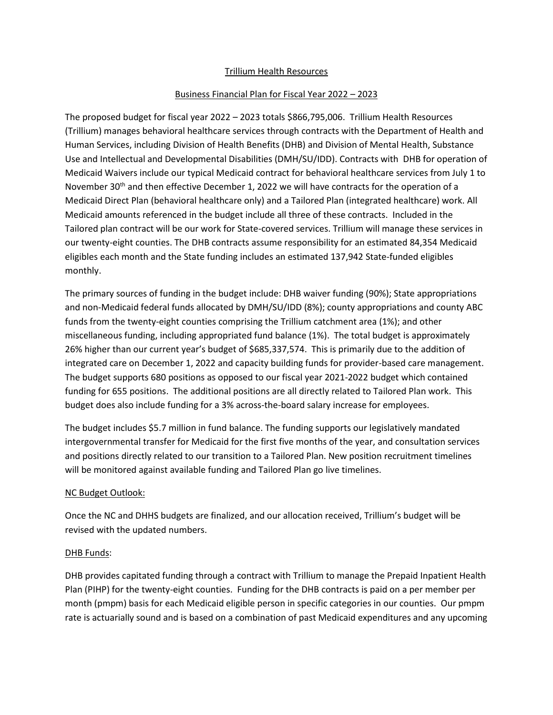## Trillium Health Resources

# Business Financial Plan for Fiscal Year 2022 – 2023

The proposed budget for fiscal year 2022 – 2023 totals \$866,795,006. Trillium Health Resources (Trillium) manages behavioral healthcare services through contracts with the Department of Health and Human Services, including Division of Health Benefits (DHB) and Division of Mental Health, Substance Use and Intellectual and Developmental Disabilities (DMH/SU/IDD). Contracts with DHB for operation of Medicaid Waivers include our typical Medicaid contract for behavioral healthcare services from July 1 to November 30<sup>th</sup> and then effective December 1, 2022 we will have contracts for the operation of a Medicaid Direct Plan (behavioral healthcare only) and a Tailored Plan (integrated healthcare) work. All Medicaid amounts referenced in the budget include all three of these contracts. Included in the Tailored plan contract will be our work for State-covered services. Trillium will manage these services in our twenty-eight counties. The DHB contracts assume responsibility for an estimated 84,354 Medicaid eligibles each month and the State funding includes an estimated 137,942 State-funded eligibles monthly.

The primary sources of funding in the budget include: DHB waiver funding (90%); State appropriations and non-Medicaid federal funds allocated by DMH/SU/IDD (8%); county appropriations and county ABC funds from the twenty-eight counties comprising the Trillium catchment area (1%); and other miscellaneous funding, including appropriated fund balance (1%). The total budget is approximately 26% higher than our current year's budget of \$685,337,574. This is primarily due to the addition of integrated care on December 1, 2022 and capacity building funds for provider-based care management. The budget supports 680 positions as opposed to our fiscal year 2021-2022 budget which contained funding for 655 positions. The additional positions are all directly related to Tailored Plan work. This budget does also include funding for a 3% across-the-board salary increase for employees.

The budget includes \$5.7 million in fund balance. The funding supports our legislatively mandated intergovernmental transfer for Medicaid for the first five months of the year, and consultation services and positions directly related to our transition to a Tailored Plan. New position recruitment timelines will be monitored against available funding and Tailored Plan go live timelines.

### NC Budget Outlook:

Once the NC and DHHS budgets are finalized, and our allocation received, Trillium's budget will be revised with the updated numbers.

### DHB Funds:

DHB provides capitated funding through a contract with Trillium to manage the Prepaid Inpatient Health Plan (PIHP) for the twenty-eight counties. Funding for the DHB contracts is paid on a per member per month (pmpm) basis for each Medicaid eligible person in specific categories in our counties. Our pmpm rate is actuarially sound and is based on a combination of past Medicaid expenditures and any upcoming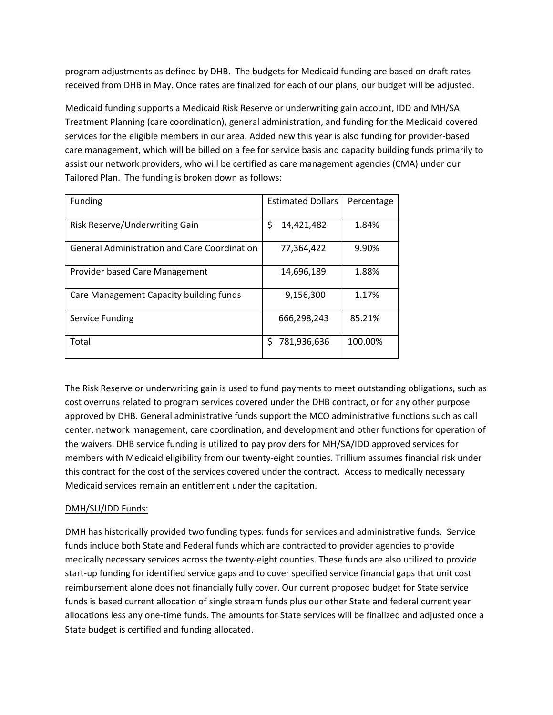program adjustments as defined by DHB. The budgets for Medicaid funding are based on draft rates received from DHB in May. Once rates are finalized for each of our plans, our budget will be adjusted.

Medicaid funding supports a Medicaid Risk Reserve or underwriting gain account, IDD and MH/SA Treatment Planning (care coordination), general administration, and funding for the Medicaid covered services for the eligible members in our area. Added new this year is also funding for provider-based care management, which will be billed on a fee for service basis and capacity building funds primarily to assist our network providers, who will be certified as care management agencies (CMA) under our Tailored Plan. The funding is broken down as follows:

| Funding                                             | <b>Estimated Dollars</b> | Percentage |
|-----------------------------------------------------|--------------------------|------------|
| Risk Reserve/Underwriting Gain                      | \$<br>14,421,482         | 1.84%      |
| <b>General Administration and Care Coordination</b> | 77,364,422               | 9.90%      |
| Provider based Care Management                      | 14,696,189               | 1.88%      |
| Care Management Capacity building funds             | 9,156,300                | 1.17%      |
| Service Funding                                     | 666,298,243              | 85.21%     |
| Total                                               | \$<br>781,936,636        | 100.00%    |

The Risk Reserve or underwriting gain is used to fund payments to meet outstanding obligations, such as cost overruns related to program services covered under the DHB contract, or for any other purpose approved by DHB. General administrative funds support the MCO administrative functions such as call center, network management, care coordination, and development and other functions for operation of the waivers. DHB service funding is utilized to pay providers for MH/SA/IDD approved services for members with Medicaid eligibility from our twenty-eight counties. Trillium assumes financial risk under this contract for the cost of the services covered under the contract. Access to medically necessary Medicaid services remain an entitlement under the capitation.

### DMH/SU/IDD Funds:

DMH has historically provided two funding types: funds for services and administrative funds. Service funds include both State and Federal funds which are contracted to provider agencies to provide medically necessary services across the twenty-eight counties. These funds are also utilized to provide start-up funding for identified service gaps and to cover specified service financial gaps that unit cost reimbursement alone does not financially fully cover. Our current proposed budget for State service funds is based current allocation of single stream funds plus our other State and federal current year allocations less any one-time funds. The amounts for State services will be finalized and adjusted once a State budget is certified and funding allocated.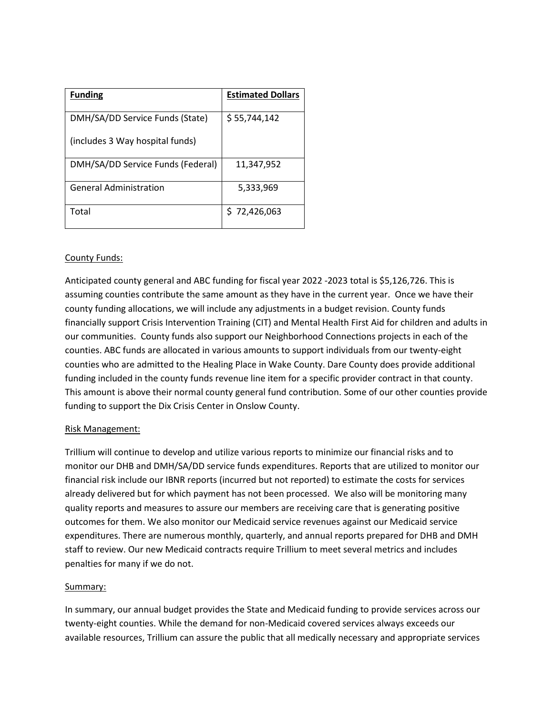| <b>Funding</b>                    | <b>Estimated Dollars</b> |
|-----------------------------------|--------------------------|
| DMH/SA/DD Service Funds (State)   | \$55,744,142             |
| (includes 3 Way hospital funds)   |                          |
| DMH/SA/DD Service Funds (Federal) | 11,347,952               |
| <b>General Administration</b>     | 5,333,969                |
| Total                             | \$72,426,063             |

### County Funds:

Anticipated county general and ABC funding for fiscal year 2022 -2023 total is \$5,126,726. This is assuming counties contribute the same amount as they have in the current year. Once we have their county funding allocations, we will include any adjustments in a budget revision. County funds financially support Crisis Intervention Training (CIT) and Mental Health First Aid for children and adults in our communities. County funds also support our Neighborhood Connections projects in each of the counties. ABC funds are allocated in various amounts to support individuals from our twenty-eight counties who are admitted to the Healing Place in Wake County. Dare County does provide additional funding included in the county funds revenue line item for a specific provider contract in that county. This amount is above their normal county general fund contribution. Some of our other counties provide funding to support the Dix Crisis Center in Onslow County.

### Risk Management:

Trillium will continue to develop and utilize various reports to minimize our financial risks and to monitor our DHB and DMH/SA/DD service funds expenditures. Reports that are utilized to monitor our financial risk include our IBNR reports (incurred but not reported) to estimate the costs for services already delivered but for which payment has not been processed. We also will be monitoring many quality reports and measures to assure our members are receiving care that is generating positive outcomes for them. We also monitor our Medicaid service revenues against our Medicaid service expenditures. There are numerous monthly, quarterly, and annual reports prepared for DHB and DMH staff to review. Our new Medicaid contracts require Trillium to meet several metrics and includes penalties for many if we do not.

### Summary:

In summary, our annual budget provides the State and Medicaid funding to provide services across our twenty-eight counties. While the demand for non-Medicaid covered services always exceeds our available resources, Trillium can assure the public that all medically necessary and appropriate services